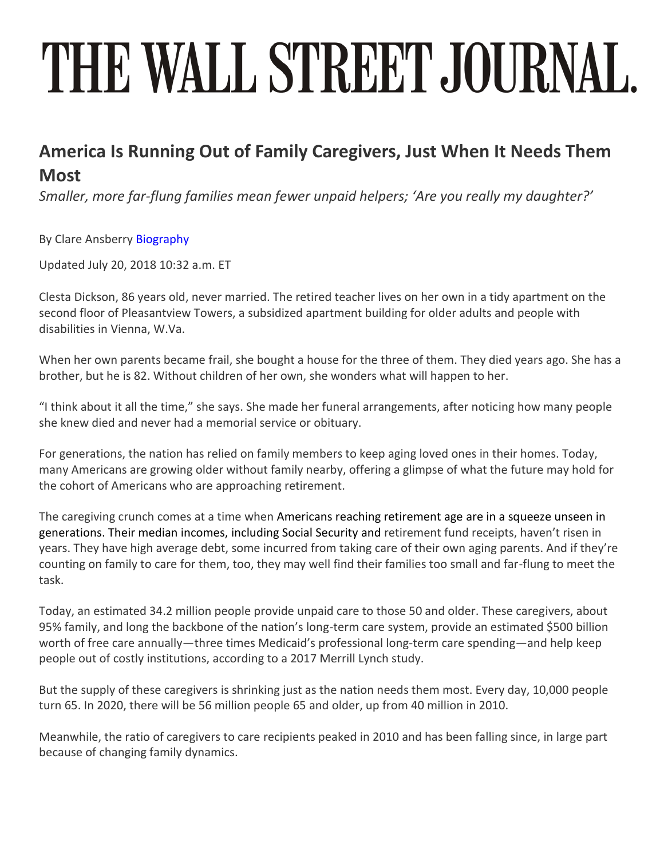# THE WALL STREET JOURNAL.

# **America Is Running Out of Family Caregivers, Just When It Needs Them Most**

*Smaller, more far-flung families mean fewer unpaid helpers; 'Are you really my daughter?'* 

By Clare Ansberry [Biography](https://www.wsj.com/news/author/1244)

Updated July 20, 2018 10:32 a.m. ET

Clesta Dickson, 86 years old, never married. The retired teacher lives on her own in a tidy apartment on the second floor of Pleasantview Towers, a subsidized apartment building for older adults and people with disabilities in Vienna, W.Va.

When her own parents became frail, she bought a house for the three of them. They died years ago. She has a brother, but he is 82. Without children of her own, she wonders what will happen to her.

"I think about it all the time," she says. She made her funeral arrangements, after noticing how many people she knew died and never had a memorial service or obituary.

For generations, the nation has relied on family members to keep aging loved ones in their homes. Today, many Americans are growing older without family nearby, offering a glimpse of what the future may hold for the cohort of Americans who are approaching retirement.

The caregiving crunch comes at a time when Americans reaching retirement age are in a squeeze unseen in generations. Their median incomes, including Social Security and retirement fund receipts, haven't risen in years. They have high average debt, some incurred from taking care of their own aging parents. And if they're counting on family to care for them, too, they may well find their families too small and far-flung to meet the task.

Today, an estimated 34.2 million people provide unpaid care to those 50 and older. These caregivers, about 95% family, and long the backbone of the nation's long-term care system, provide an estimated \$500 billion worth of free care annually—three times Medicaid's professional long-term care spending—and help keep people out of costly institutions, according to a 2017 Merrill Lynch study.

But the supply of these caregivers is shrinking just as the nation needs them most. Every day, 10,000 people turn 65. In 2020, there will be 56 million people 65 and older, up from 40 million in 2010.

Meanwhile, the ratio of caregivers to care recipients peaked in 2010 and has been falling since, in large part because of changing family dynamics.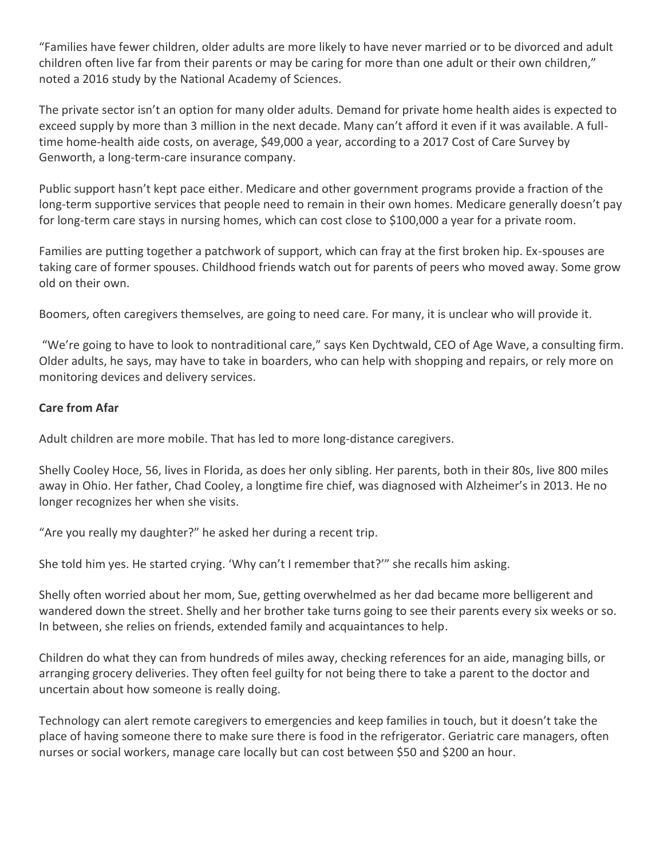"Families have fewer children, older adults are more likely to have never married or to be divorced and adult children often live far from their parents or may be caring for more than one adult or their own children," noted a 2016 study by the National Academy of Sciences.

The private sector isn't an option for many older adults. Demand for private home health aides is expected to exceed supply by more than 3 million in the next decade. Many can't afford it even if it was available. A fulltime home-health aide costs, on average, \$49,000 a year, according to a 2017 Cost of Care Survey by Genworth, a long-term-care insurance company.

Public support hasn't kept pace either. Medicare and other government programs provide a fraction of the long-term supportive services that people need to remain in their own homes. Medicare generally doesn't pay for long-term care stays in nursing homes, which can cost close to \$100,000 a year for a private room.

Families are putting together a patchwork of support, which can fray at the first broken hip. Ex-spouses are taking care of former spouses. Childhood friends watch out for parents of peers who moved away. Some grow old on their own.

Boomers, often caregivers themselves, are going to need care. For many, it is unclear who will provide it.

"We're going to have to look to nontraditional care," says Ken Dychtwald, CEO of Age Wave, a consulting firm. Older adults, he says, may have to take in boarders, who can help with shopping and repairs, or rely more on monitoring devices and delivery services.

#### **Care from Afar**

Adult children are more mobile. That has led to more long-distance caregivers.

Shelly Cooley Hoce, 56, lives in Florida, as does her only sibling. Her parents, both in their 80s, live 800 miles away in Ohio. Her father, Chad Cooley, a longtime fire chief, was diagnosed with Alzheimer's in 2013. He no longer recognizes her when she visits.

"Are you really my daughter?" he asked her during a recent trip.

She told him yes. He started crying. 'Why can't I remember that?'" she recalls him asking.

Shelly often worried about her mom, Sue, getting overwhelmed as her dad became more belligerent and wandered down the street. Shelly and her brother take turns going to see their parents every six weeks or so. In between, she relies on friends, extended family and acquaintances to help.

Children do what they can from hundreds of miles away, checking references for an aide, managing bills, or arranging grocery deliveries. They often feel guilty for not being there to take a parent to the doctor and uncertain about how someone is really doing.

Technology can alert remote caregivers to emergencies and keep families in touch, but it doesn't take the place of having someone there to make sure there is food in the refrigerator. Geriatric care managers, often nurses or social workers, manage care locally but can cost between \$50 and \$200 an hour.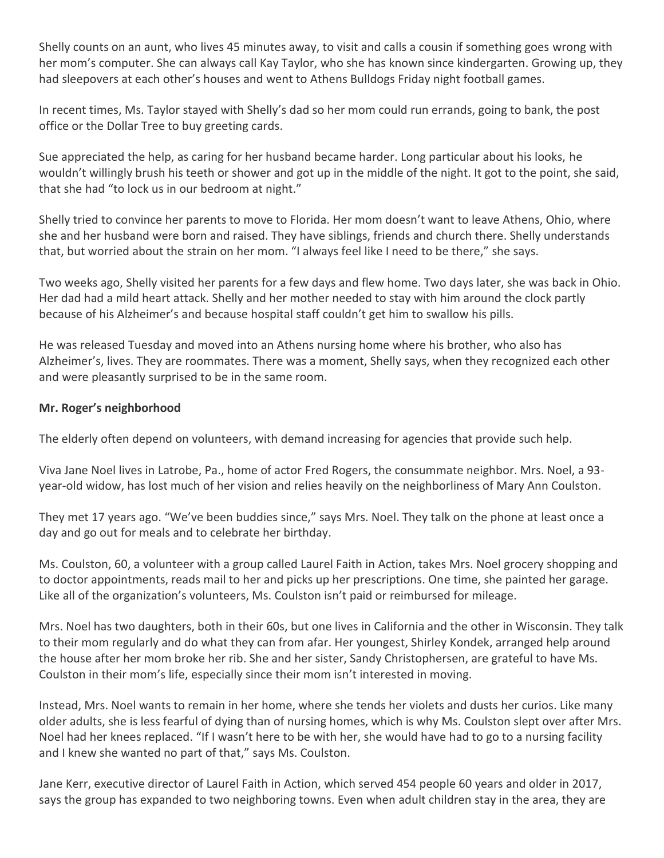Shelly counts on an aunt, who lives 45 minutes away, to visit and calls a cousin if something goes wrong with her mom's computer. She can always call Kay Taylor, who she has known since kindergarten. Growing up, they had sleepovers at each other's houses and went to Athens Bulldogs Friday night football games.

In recent times, Ms. Taylor stayed with Shelly's dad so her mom could run errands, going to bank, the post office or the Dollar Tree to buy greeting cards.

Sue appreciated the help, as caring for her husband became harder. Long particular about his looks, he wouldn't willingly brush his teeth or shower and got up in the middle of the night. It got to the point, she said, that she had "to lock us in our bedroom at night."

Shelly tried to convince her parents to move to Florida. Her mom doesn't want to leave Athens, Ohio, where she and her husband were born and raised. They have siblings, friends and church there. Shelly understands that, but worried about the strain on her mom. "I always feel like I need to be there," she says.

Two weeks ago, Shelly visited her parents for a few days and flew home. Two days later, she was back in Ohio. Her dad had a mild heart attack. Shelly and her mother needed to stay with him around the clock partly because of his Alzheimer's and because hospital staff couldn't get him to swallow his pills.

He was released Tuesday and moved into an Athens nursing home where his brother, who also has Alzheimer's, lives. They are roommates. There was a moment, Shelly says, when they recognized each other and were pleasantly surprised to be in the same room.

## **Mr. Roger's neighborhood**

The elderly often depend on volunteers, with demand increasing for agencies that provide such help.

Viva Jane Noel lives in Latrobe, Pa., home of actor Fred Rogers, the consummate neighbor. Mrs. Noel, a 93 year-old widow, has lost much of her vision and relies heavily on the neighborliness of Mary Ann Coulston.

They met 17 years ago. "We've been buddies since," says Mrs. Noel. They talk on the phone at least once a day and go out for meals and to celebrate her birthday.

Ms. Coulston, 60, a volunteer with a group called Laurel Faith in Action, takes Mrs. Noel grocery shopping and to doctor appointments, reads mail to her and picks up her prescriptions. One time, she painted her garage. Like all of the organization's volunteers, Ms. Coulston isn't paid or reimbursed for mileage.

Mrs. Noel has two daughters, both in their 60s, but one lives in California and the other in Wisconsin. They talk to their mom regularly and do what they can from afar. Her youngest, Shirley Kondek, arranged help around the house after her mom broke her rib. She and her sister, Sandy Christophersen, are grateful to have Ms. Coulston in their mom's life, especially since their mom isn't interested in moving.

Instead, Mrs. Noel wants to remain in her home, where she tends her violets and dusts her curios. Like many older adults, she is less fearful of dying than of nursing homes, which is why Ms. Coulston slept over after Mrs. Noel had her knees replaced. "If I wasn't here to be with her, she would have had to go to a nursing facility and I knew she wanted no part of that," says Ms. Coulston.

Jane Kerr, executive director of Laurel Faith in Action, which served 454 people 60 years and older in 2017, says the group has expanded to two neighboring towns. Even when adult children stay in the area, they are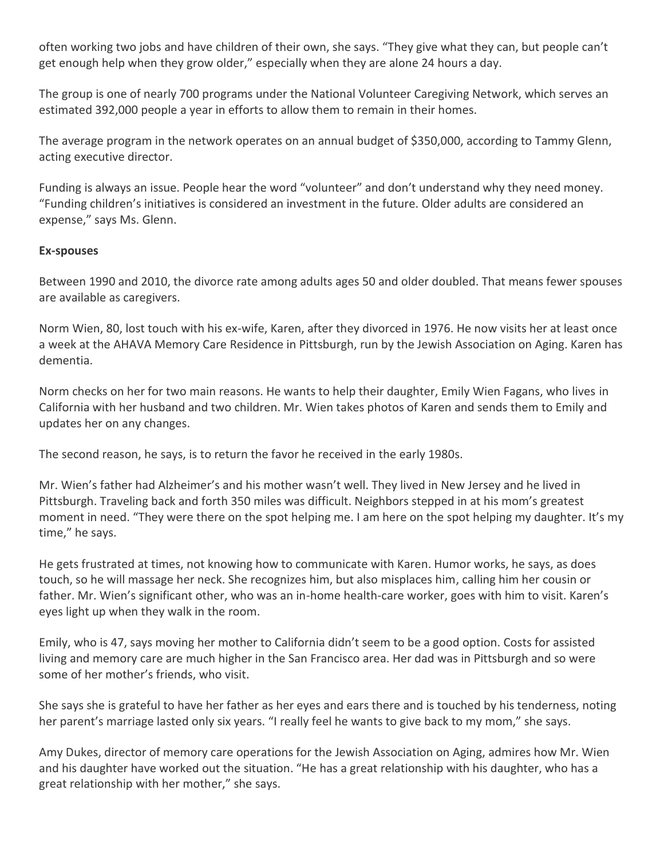often working two jobs and have children of their own, she says. "They give what they can, but people can't get enough help when they grow older," especially when they are alone 24 hours a day.

The group is one of nearly 700 programs under the National Volunteer Caregiving Network, which serves an estimated 392,000 people a year in efforts to allow them to remain in their homes.

The average program in the network operates on an annual budget of \$350,000, according to Tammy Glenn, acting executive director.

Funding is always an issue. People hear the word "volunteer" and don't understand why they need money. "Funding children's initiatives is considered an investment in the future. Older adults are considered an expense," says Ms. Glenn.

#### **Ex-spouses**

Between 1990 and 2010, the divorce rate among adults ages 50 and older doubled. That means fewer spouses are available as caregivers.

Norm Wien, 80, lost touch with his ex-wife, Karen, after they divorced in 1976. He now visits her at least once a week at the AHAVA Memory Care Residence in Pittsburgh, run by the Jewish Association on Aging. Karen has dementia.

Norm checks on her for two main reasons. He wants to help their daughter, Emily Wien Fagans, who lives in California with her husband and two children. Mr. Wien takes photos of Karen and sends them to Emily and updates her on any changes.

The second reason, he says, is to return the favor he received in the early 1980s.

Mr. Wien's father had Alzheimer's and his mother wasn't well. They lived in New Jersey and he lived in Pittsburgh. Traveling back and forth 350 miles was difficult. Neighbors stepped in at his mom's greatest moment in need. "They were there on the spot helping me. I am here on the spot helping my daughter. It's my time," he says.

He gets frustrated at times, not knowing how to communicate with Karen. Humor works, he says, as does touch, so he will massage her neck. She recognizes him, but also misplaces him, calling him her cousin or father. Mr. Wien's significant other, who was an in-home health-care worker, goes with him to visit. Karen's eyes light up when they walk in the room.

Emily, who is 47, says moving her mother to California didn't seem to be a good option. Costs for assisted living and memory care are much higher in the San Francisco area. Her dad was in Pittsburgh and so were some of her mother's friends, who visit.

She says she is grateful to have her father as her eyes and ears there and is touched by his tenderness, noting her parent's marriage lasted only six years. "I really feel he wants to give back to my mom," she says.

Amy Dukes, director of memory care operations for the Jewish Association on Aging, admires how Mr. Wien and his daughter have worked out the situation. "He has a great relationship with his daughter, who has a great relationship with her mother," she says.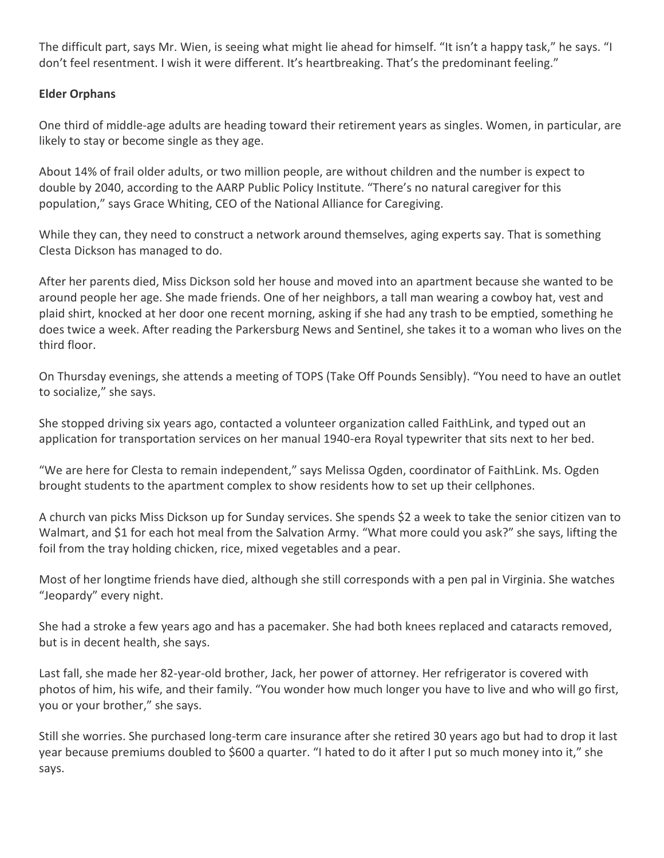The difficult part, says Mr. Wien, is seeing what might lie ahead for himself. "It isn't a happy task," he says. "I don't feel resentment. I wish it were different. It's heartbreaking. That's the predominant feeling."

## **Elder Orphans**

One third of middle-age adults are heading toward their retirement years as singles. Women, in particular, are likely to stay or become single as they age.

About 14% of frail older adults, or two million people, are without children and the number is expect to double by 2040, according to the AARP Public Policy Institute. "There's no natural caregiver for this population," says Grace Whiting, CEO of the National Alliance for Caregiving.

While they can, they need to construct a network around themselves, aging experts say. That is something Clesta Dickson has managed to do.

After her parents died, Miss Dickson sold her house and moved into an apartment because she wanted to be around people her age. She made friends. One of her neighbors, a tall man wearing a cowboy hat, vest and plaid shirt, knocked at her door one recent morning, asking if she had any trash to be emptied, something he does twice a week. After reading the Parkersburg News and Sentinel, she takes it to a woman who lives on the third floor.

On Thursday evenings, she attends a meeting of TOPS (Take Off Pounds Sensibly). "You need to have an outlet to socialize," she says.

She stopped driving six years ago, contacted a volunteer organization called FaithLink, and typed out an application for transportation services on her manual 1940-era Royal typewriter that sits next to her bed.

"We are here for Clesta to remain independent," says Melissa Ogden, coordinator of FaithLink. Ms. Ogden brought students to the apartment complex to show residents how to set up their cellphones.

A church van picks Miss Dickson up for Sunday services. She spends \$2 a week to take the senior citizen van to Walmart, and \$1 for each hot meal from the Salvation Army. "What more could you ask?" she says, lifting the foil from the tray holding chicken, rice, mixed vegetables and a pear.

Most of her longtime friends have died, although she still corresponds with a pen pal in Virginia. She watches "Jeopardy" every night.

She had a stroke a few years ago and has a pacemaker. She had both knees replaced and cataracts removed, but is in decent health, she says.

Last fall, she made her 82-year-old brother, Jack, her power of attorney. Her refrigerator is covered with photos of him, his wife, and their family. "You wonder how much longer you have to live and who will go first, you or your brother," she says.

Still she worries. She purchased long-term care insurance after she retired 30 years ago but had to drop it last year because premiums doubled to \$600 a quarter. "I hated to do it after I put so much money into it," she says.